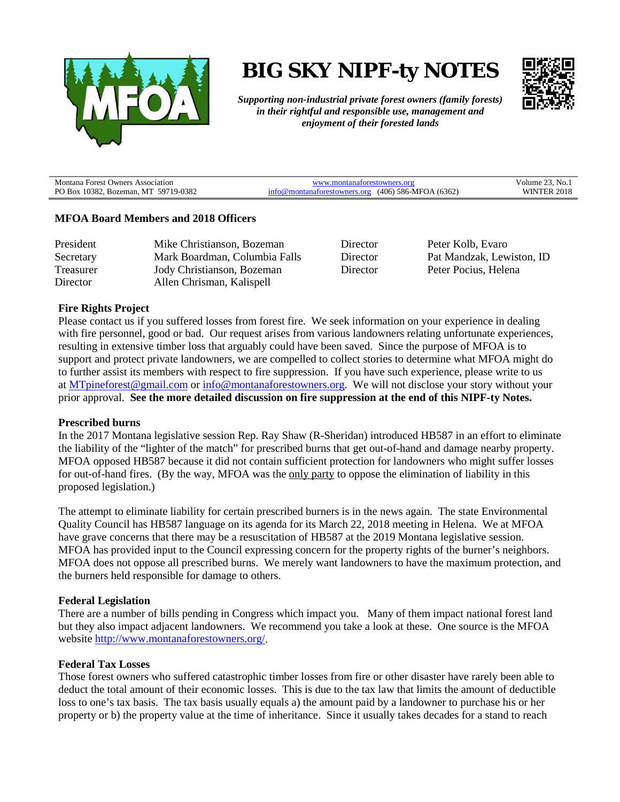

# **BIG SKY NIPF-ty NOTES**



*Supporting non-industrial private forest owners (family forests) in their rightful and responsible use, management and enjoyment of their forested lands*

| Montana Forest Owners Association    | anaforestowners org                                | ''3. No. .<br>olume : |
|--------------------------------------|----------------------------------------------------|-----------------------|
| PO Box 10382, Bozeman, MT 59719-0382 | $(406)$ 586-MFOA (6362)<br>montanatorestowners.org | 2018<br>WINTER        |

## **MFOA Board Members and 2018 Officers**

| President | Mike Christianson, Bozeman    | Director | Peter Kolb, Evaro         |
|-----------|-------------------------------|----------|---------------------------|
| Secretary | Mark Boardman, Columbia Falls | Director | Pat Mandzak, Lewiston, ID |
| Treasurer | Jody Christianson, Bozeman    | Director | Peter Pocius, Helena      |
| Director  | Allen Chrisman, Kalispell     |          |                           |

## **Fire Rights Project**

Please contact us if you suffered losses from forest fire. We seek information on your experience in dealing with fire personnel, good or bad. Our request arises from various landowners relating unfortunate experiences, resulting in extensive timber loss that arguably could have been saved. Since the purpose of MFOA is to support and protect private landowners, we are compelled to collect stories to determine what MFOA might do to further assist its members with respect to fire suppression. If you have such experience, please write to us at [MTpineforest@gmail.com](mailto:MTpineforest@gmail.com) or [info@montanaforestowners.org.](mailto:info@montanaforestowners.org) We will not disclose your story without your prior approval. **See the more detailed discussion on fire suppression at the end of this NIPF-ty Notes.**

#### **Prescribed burns**

In the 2017 Montana legislative session Rep. Ray Shaw (R-Sheridan) introduced HB587 in an effort to eliminate the liability of the "lighter of the match" for prescribed burns that get out-of-hand and damage nearby property. MFOA opposed HB587 because it did not contain sufficient protection for landowners who might suffer losses for out-of-hand fires. (By the way, MFOA was the only party to oppose the elimination of liability in this proposed legislation.)

The attempt to eliminate liability for certain prescribed burners is in the news again. The state Environmental Quality Council has HB587 language on its agenda for its March 22, 2018 meeting in Helena. We at MFOA have grave concerns that there may be a resuscitation of HB587 at the 2019 Montana legislative session. MFOA has provided input to the Council expressing concern for the property rights of the burner's neighbors. MFOA does not oppose all prescribed burns. We merely want landowners to have the maximum protection, and the burners held responsible for damage to others.

#### **Federal Legislation**

There are a number of bills pending in Congress which impact you. Many of them impact national forest land but they also impact adjacent landowners. We recommend you take a look at these. One source is the MFOA website [http://www.montanaforestowners.org/.](http://www.montanaforestowners.org/)

#### **Federal Tax Losses**

Those forest owners who suffered catastrophic timber losses from fire or other disaster have rarely been able to deduct the total amount of their economic losses. This is due to the tax law that limits the amount of deductible loss to one's tax basis. The tax basis usually equals a) the amount paid by a landowner to purchase his or her property or b) the property value at the time of inheritance. Since it usually takes decades for a stand to reach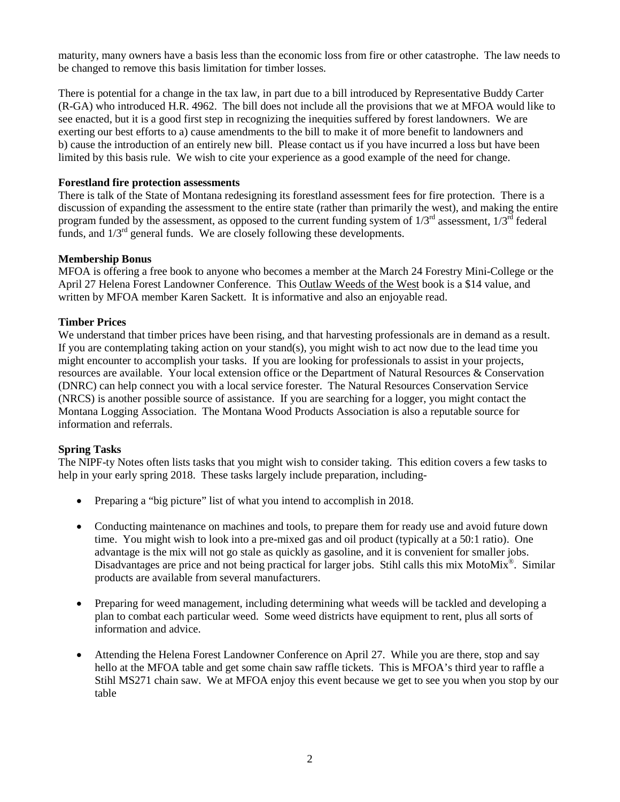maturity, many owners have a basis less than the economic loss from fire or other catastrophe. The law needs to be changed to remove this basis limitation for timber losses.

There is potential for a change in the tax law, in part due to a bill introduced by Representative Buddy Carter (R-GA) who introduced H.R. 4962. The bill does not include all the provisions that we at MFOA would like to see enacted, but it is a good first step in recognizing the inequities suffered by forest landowners. We are exerting our best efforts to a) cause amendments to the bill to make it of more benefit to landowners and b) cause the introduction of an entirely new bill. Please contact us if you have incurred a loss but have been limited by this basis rule. We wish to cite your experience as a good example of the need for change.

## **Forestland fire protection assessments**

There is talk of the State of Montana redesigning its forestland assessment fees for fire protection. There is a discussion of expanding the assessment to the entire state (rather than primarily the west), and making the entire program funded by the assessment, as opposed to the current funding system of  $1/3<sup>rd</sup>$  assessment,  $1/3<sup>rd</sup>$  federal funds, and  $1/3^{rd}$  general funds. We are closely following these developments.

# **Membership Bonus**

MFOA is offering a free book to anyone who becomes a member at the March 24 Forestry Mini-College or the April 27 Helena Forest Landowner Conference. This Outlaw Weeds of the West book is a \$14 value, and written by MFOA member Karen Sackett. It is informative and also an enjoyable read.

# **Timber Prices**

We understand that timber prices have been rising, and that harvesting professionals are in demand as a result. If you are contemplating taking action on your stand(s), you might wish to act now due to the lead time you might encounter to accomplish your tasks. If you are looking for professionals to assist in your projects, resources are available. Your local extension office or the Department of Natural Resources & Conservation (DNRC) can help connect you with a local service forester. The Natural Resources Conservation Service (NRCS) is another possible source of assistance. If you are searching for a logger, you might contact the Montana Logging Association. The Montana Wood Products Association is also a reputable source for information and referrals.

# **Spring Tasks**

The NIPF-ty Notes often lists tasks that you might wish to consider taking. This edition covers a few tasks to help in your early spring 2018. These tasks largely include preparation, including-

- Preparing a "big picture" list of what you intend to accomplish in 2018.
- Conducting maintenance on machines and tools, to prepare them for ready use and avoid future down time. You might wish to look into a pre-mixed gas and oil product (typically at a 50:1 ratio). One advantage is the mix will not go stale as quickly as gasoline, and it is convenient for smaller jobs. Disadvantages are price and not being practical for larger jobs. Stihl calls this mix MotoMix®. Similar products are available from several manufacturers.
- Preparing for weed management, including determining what weeds will be tackled and developing a plan to combat each particular weed. Some weed districts have equipment to rent, plus all sorts of information and advice.
- Attending the Helena Forest Landowner Conference on April 27. While you are there, stop and say hello at the MFOA table and get some chain saw raffle tickets. This is MFOA's third year to raffle a Stihl MS271 chain saw. We at MFOA enjoy this event because we get to see you when you stop by our table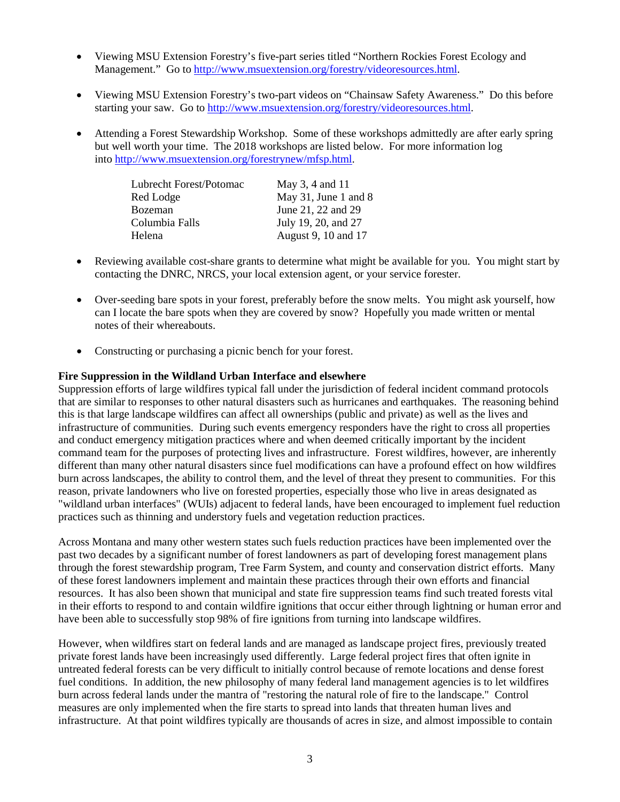- Viewing MSU Extension Forestry's five-part series titled "Northern Rockies Forest Ecology and Management." Go t[o http://www.msuextension.org/forestry/videoresources.html.](http://www.msuextension.org/forestry/videoresources.html)
- Viewing MSU Extension Forestry's two-part videos on "Chainsaw Safety Awareness." Do this before starting your saw. Go to [http://www.msuextension.org/forestry/videoresources.html.](http://www.msuextension.org/forestry/videoresources.html)
- Attending a Forest Stewardship Workshop.Some of these workshops admittedly are after early spring but well worth your time. The 2018 workshops are listed below. For more information log into [http://www.msuextension.org/forestrynew/mfsp.html.](http://www.msuextension.org/forestrynew/mfsp.html)

| Lubrecht Forest/Potomac | May 3, 4 and 11      |
|-------------------------|----------------------|
| Red Lodge               | May 31, June 1 and 8 |
| Bozeman                 | June 21, 22 and 29   |
| Columbia Falls          | July 19, 20, and 27  |
| Helena                  | August 9, 10 and 17  |

- Reviewing available cost-share grants to determine what might be available for you. You might start by contacting the DNRC, NRCS, your local extension agent, or your service forester.
- Over-seeding bare spots in your forest, preferably before the snow melts. You might ask yourself, how can I locate the bare spots when they are covered by snow? Hopefully you made written or mental notes of their whereabouts.
- Constructing or purchasing a picnic bench for your forest.

# **Fire Suppression in the Wildland Urban Interface and elsewhere**

Suppression efforts of large wildfires typical fall under the jurisdiction of federal incident command protocols that are similar to responses to other natural disasters such as hurricanes and earthquakes. The reasoning behind this is that large landscape wildfires can affect all ownerships (public and private) as well as the lives and infrastructure of communities. During such events emergency responders have the right to cross all properties and conduct emergency mitigation practices where and when deemed critically important by the incident command team for the purposes of protecting lives and infrastructure. Forest wildfires, however, are inherently different than many other natural disasters since fuel modifications can have a profound effect on how wildfires burn across landscapes, the ability to control them, and the level of threat they present to communities. For this reason, private landowners who live on forested properties, especially those who live in areas designated as "wildland urban interfaces" (WUIs) adjacent to federal lands, have been encouraged to implement fuel reduction practices such as thinning and understory fuels and vegetation reduction practices.

Across Montana and many other western states such fuels reduction practices have been implemented over the past two decades by a significant number of forest landowners as part of developing forest management plans through the forest stewardship program, Tree Farm System, and county and conservation district efforts. Many of these forest landowners implement and maintain these practices through their own efforts and financial resources. It has also been shown that municipal and state fire suppression teams find such treated forests vital in their efforts to respond to and contain wildfire ignitions that occur either through lightning or human error and have been able to successfully stop 98% of fire ignitions from turning into landscape wildfires.

However, when wildfires start on federal lands and are managed as landscape project fires, previously treated private forest lands have been increasingly used differently. Large federal project fires that often ignite in untreated federal forests can be very difficult to initially control because of remote locations and dense forest fuel conditions. In addition, the new philosophy of many federal land management agencies is to let wildfires burn across federal lands under the mantra of "restoring the natural role of fire to the landscape." Control measures are only implemented when the fire starts to spread into lands that threaten human lives and infrastructure. At that point wildfires typically are thousands of acres in size, and almost impossible to contain